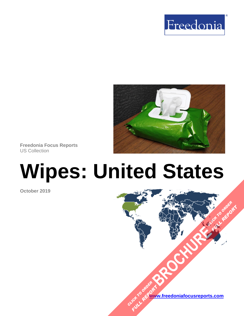



**Freedonia Focus Reports** US Collection

# **Wipes: United States**

**October 2019**

**[www.freedoniafocusreports.com](https://www.freedoniafocusreports.com/redirect.asp?progid=89534&url=/)** CLICK TO ORDER **FULL REPORT** 

**[BROCHURE](https://www.freedoniafocusreports.com/Wipes-United-States-FF15022/?progid=89541) CLICK TO ORDER** 

**FULL REPORT**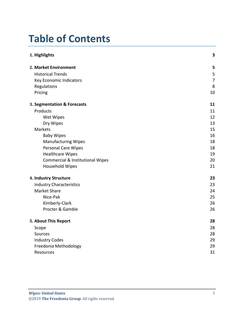# **Table of Contents**

| 1. Highlights                               | 3              |
|---------------------------------------------|----------------|
| 2. Market Environment                       | 5              |
| <b>Historical Trends</b>                    | 5              |
| Key Economic Indicators                     | $\overline{7}$ |
| Regulations                                 | 8              |
| Pricing                                     | 10             |
| 3. Segmentation & Forecasts                 | 11             |
| Products                                    | 11             |
| Wet Wipes                                   | 12             |
| Dry Wipes                                   | 13             |
| Markets                                     | 15             |
| <b>Baby Wipes</b>                           | 16             |
| <b>Manufacturing Wipes</b>                  | 18             |
| <b>Personal Care Wipes</b>                  | 18             |
| <b>Healthcare Wipes</b>                     | 19             |
| <b>Commercial &amp; Institutional Wipes</b> | 20             |
| Household Wipes                             | 21             |
| 4. Industry Structure                       | 23             |
| <b>Industry Characteristics</b>             | 23             |
| <b>Market Share</b>                         | 24             |
| Nice-Pak                                    | 25             |
| Kimberly-Clark                              | 26             |
| Procter & Gamble                            | 26             |
| 5. About This Report                        | 28             |
| Scope                                       | 28             |
| Sources                                     | 28             |
| <b>Industry Codes</b>                       | 29             |
| Freedonia Methodology                       | 29             |
| <b>Resources</b>                            | 31             |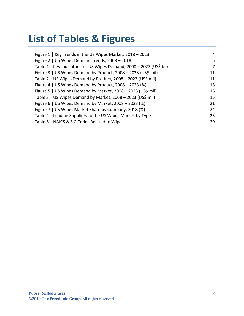# **List of Tables & Figures**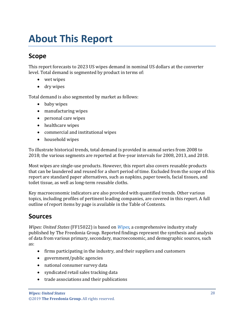# <span id="page-3-0"></span>**About This Report**

## <span id="page-3-1"></span>**Scope**

This report forecasts to 2023 US wipes demand in nominal US dollars at the converter level. Total demand is segmented by product in terms of:

- wet wipes
- dry wipes

Total demand is also segmented by market as follows:

- baby wipes
- manufacturing wipes
- personal care wipes
- healthcare wipes
- commercial and institutional wipes
- household wipes

To illustrate historical trends, total demand is provided in annual series from 2008 to 2018; the various segments are reported at five-year intervals for 2008, 2013, and 2018.

Most wipes are single-use products. However, this report also covers reusable products that can be laundered and reused for a short period of time. Excluded from the scope of this report are standard paper alternatives, such as napkins, paper towels, facial tissues, and toilet tissue, as well as long-term reusable cloths.

Key macroeconomic indicators are also provided with quantified trends. Other various topics, including profiles of pertinent leading companies, are covered in this report. A full outline of report items by page is available in the Table of Contents.

## <span id="page-3-2"></span>**Sources**

*Wipes: United States* (FF15022) is based on *[Wipes,](http://www.freedoniagroup.com/DocumentDetails.aspx?ReferrerId=FL-FOCUS&studyid=3722)* a comprehensive industry study published by The Freedonia Group. Reported findings represent the synthesis and analysis of data from various primary, secondary, macroeconomic, and demographic sources, such as:

- firms participating in the industry, and their suppliers and customers
- government/public agencies
- national consumer survey data
- syndicated retail sales tracking data
- trade associations and their publications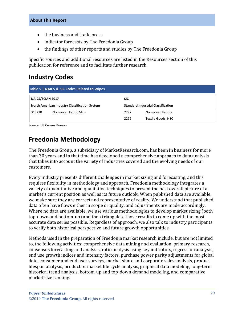- the business and trade press
- indicator forecasts by The Freedonia Group
- the findings of other reports and studies by The Freedonia Group

Specific sources and additional resources are listed in the Resources section of this publication for reference and to facilitate further research.

## <span id="page-4-0"></span>**Industry Codes**

<span id="page-4-2"></span>

| Table 5   NAICS & SIC Codes Related to Wipes |                                                      |                                           |                    |  |
|----------------------------------------------|------------------------------------------------------|-------------------------------------------|--------------------|--|
| <b>NAICS/SCIAN 2017</b>                      |                                                      | <b>SIC</b>                                |                    |  |
|                                              | <b>North American Industry Classification System</b> | <b>Standard Industrial Classification</b> |                    |  |
| 313230                                       | Nonwoven Fabric Mills                                | 2297                                      | Nonwoven Fabrics   |  |
|                                              |                                                      | 2299                                      | Textile Goods, NEC |  |

Source: US Census Bureau

# <span id="page-4-1"></span>**Freedonia Methodology**

The Freedonia Group, a subsidiary of MarketResearch.com, has been in business for more than 30 years and in that time has developed a comprehensive approach to data analysis that takes into account the variety of industries covered and the evolving needs of our customers.

Every industry presents different challenges in market sizing and forecasting, and this requires flexibility in methodology and approach. Freedonia methodology integrates a variety of quantitative and qualitative techniques to present the best overall picture of a market's current position as well as its future outlook: When published data are available, we make sure they are correct and representative of reality. We understand that published data often have flaws either in scope or quality, and adjustments are made accordingly. Where no data are available, we use various methodologies to develop market sizing (both top-down and bottom-up) and then triangulate those results to come up with the most accurate data series possible. Regardless of approach, we also talk to industry participants to verify both historical perspective and future growth opportunities.

Methods used in the preparation of Freedonia market research include, but are not limited to, the following activities: comprehensive data mining and evaluation, primary research, consensus forecasting and analysis, ratio analysis using key indicators, regression analysis, end use growth indices and intensity factors, purchase power parity adjustments for global data, consumer and end user surveys, market share and corporate sales analysis, product lifespan analysis, product or market life cycle analysis, graphical data modeling, long-term historical trend analysis, bottom-up and top-down demand modeling, and comparative market size ranking.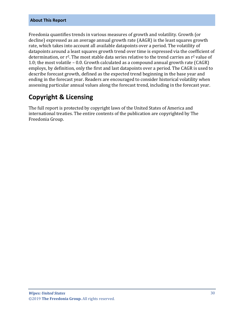#### **About This Report**

Freedonia quantifies trends in various measures of growth and volatility. Growth (or decline) expressed as an average annual growth rate (AAGR) is the least squares growth rate, which takes into account all available datapoints over a period. The volatility of datapoints around a least squares growth trend over time is expressed via the coefficient of determination, or  $r^2$ . The most stable data series relative to the trend carries an  $r^2$  value of 1.0; the most volatile – 0.0. Growth calculated as a compound annual growth rate (CAGR) employs, by definition, only the first and last datapoints over a period. The CAGR is used to describe forecast growth, defined as the expected trend beginning in the base year and ending in the forecast year. Readers are encouraged to consider historical volatility when assessing particular annual values along the forecast trend, including in the forecast year.

### **Copyright & Licensing**

The full report is protected by copyright laws of the United States of America and international treaties. The entire contents of the publication are copyrighted by The Freedonia Group.